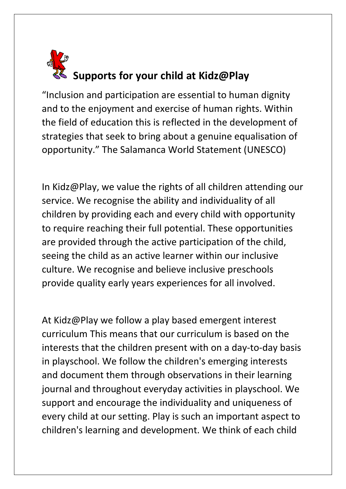

"Inclusion and participation are essential to human dignity and to the enjoyment and exercise of human rights. Within the field of education this is reflected in the development of strategies that seek to bring about a genuine equalisation of opportunity." The Salamanca World Statement (UNESCO)

In Kidz@Play, we value the rights of all children attending our service. We recognise the ability and individuality of all children by providing each and every child with opportunity to require reaching their full potential. These opportunities are provided through the active participation of the child, seeing the child as an active learner within our inclusive culture. We recognise and believe inclusive preschools provide quality early years experiences for all involved.

At Kidz@Play we follow a play based emergent interest curriculum This means that our curriculum is based on the interests that the children present with on a day-to-day basis in playschool. We follow the children's emerging interests and document them through observations in their learning journal and throughout everyday activities in playschool. We support and encourage the individuality and uniqueness of every child at our setting. Play is such an important aspect to children's learning and development. We think of each child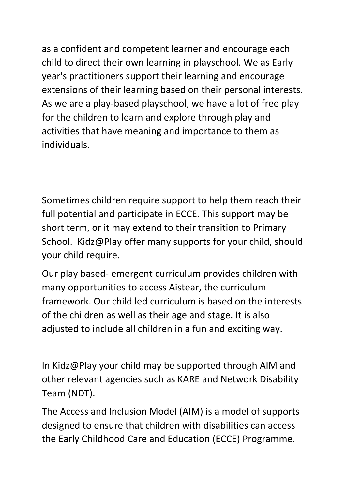as a confident and competent learner and encourage each child to direct their own learning in playschool. We as Early year's practitioners support their learning and encourage extensions of their learning based on their personal interests. As we are a play-based playschool, we have a lot of free play for the children to learn and explore through play and activities that have meaning and importance to them as individuals.

Sometimes children require support to help them reach their full potential and participate in ECCE. This support may be short term, or it may extend to their transition to Primary School. Kidz@Play offer many supports for your child, should your child require.

Our play based- emergent curriculum provides children with many opportunities to access Aistear, the curriculum framework. Our child led curriculum is based on the interests of the children as well as their age and stage. It is also adjusted to include all children in a fun and exciting way.

In Kidz@Play your child may be supported through AIM and other relevant agencies such as KARE and Network Disability Team (NDT).

The Access and Inclusion Model (AIM) is a model of supports designed to ensure that children with disabilities can access the Early Childhood Care and Education (ECCE) Programme.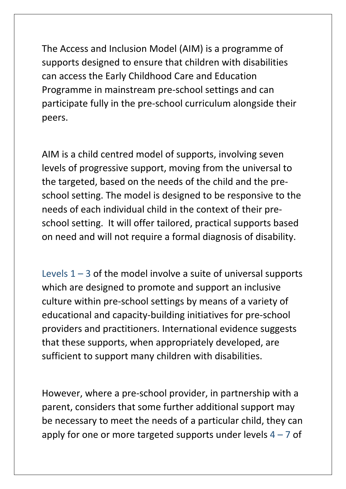The Access and Inclusion Model (AIM) is a programme of supports designed to ensure that children with disabilities can access the Early Childhood Care and Education Programme in mainstream pre-school settings and can participate fully in the pre-school curriculum alongside their peers.

AIM is a child centred model of supports, involving seven levels of progressive support, moving from the universal to the targeted, based on the needs of the child and the preschool setting. The model is designed to be responsive to the needs of each individual child in the context of their preschool setting. It will offer tailored, practical supports based on need and will not require a formal diagnosis of disability.

Levels  $1 - 3$  of the model involve a suite of universal supports which are designed to promote and support an inclusive culture within pre-school settings by means of a variety of educational and capacity-building initiatives for pre-school providers and practitioners. International evidence suggests that these supports, when appropriately developed, are sufficient to support many children with disabilities.

However, where a pre-school provider, in partnership with a parent, considers that some further additional support may be necessary to meet the needs of a particular child, they can apply for one or more targeted supports under levels  $4 - 7$  of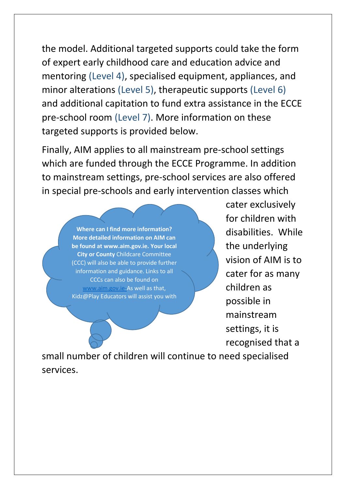the model. Additional targeted supports could take the form of expert early childhood care and education advice and mentoring (Level 4), specialised equipment, appliances, and minor alterations (Level 5), therapeutic supports (Level 6) and additional capitation to fund extra assistance in the ECCE pre-school room (Level 7). More information on these targeted supports is provided below.

Finally, AIM applies to all mainstream pre-school settings which are funded through the ECCE Programme. In addition to mainstream settings, pre-school services are also offered in special pre-schools and early intervention classes which

> **Where can I find more information? More detailed information on AIM can be found at www.aim.gov.ie. Your local City or County** Childcare Committee (CCC) will also be able to provide further information and guidance. Links to all CCCs can also be found on [www.aim.gov.ie-](http://www.aim.gov.ie/)As well as that, Kidz@Play Educators will assist you with

cater exclusively for children with disabilities. While the underlying vision of AIM is to cater for as many children as possible in mainstream settings, it is recognised that a

small number of children will continue to need specialised services.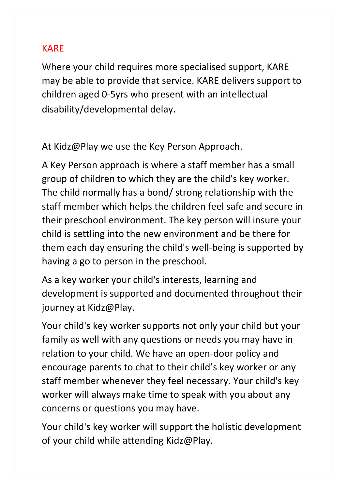# KARE

Where your child requires more specialised support, KARE may be able to provide that service. KARE delivers support to children aged 0-5yrs who present with an intellectual disability/developmental delay.

At Kidz@Play we use the Key Person Approach.

A Key Person approach is where a staff member has a small group of children to which they are the child's key worker. The child normally has a bond/ strong relationship with the staff member which helps the children feel safe and secure in their preschool environment. The key person will insure your child is settling into the new environment and be there for them each day ensuring the child's well-being is supported by having a go to person in the preschool.

As a key worker your child's interests, learning and development is supported and documented throughout their journey at Kidz@Play.

Your child's key worker supports not only your child but your family as well with any questions or needs you may have in relation to your child. We have an open-door policy and encourage parents to chat to their child's key worker or any staff member whenever they feel necessary. Your child's key worker will always make time to speak with you about any concerns or questions you may have.

Your child's key worker will support the holistic development of your child while attending Kidz@Play.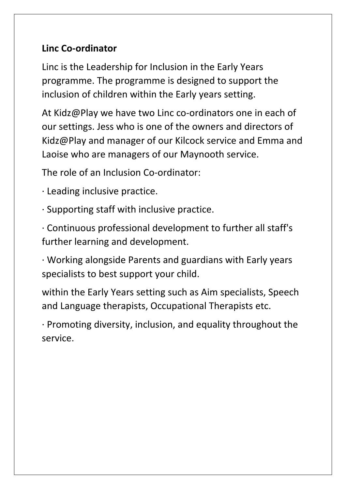# **Linc Co-ordinator**

Linc is the Leadership for Inclusion in the Early Years programme. The programme is designed to support the inclusion of children within the Early years setting.

At Kidz@Play we have two Linc co-ordinators one in each of our settings. Jess who is one of the owners and directors of Kidz@Play and manager of our Kilcock service and Emma and Laoise who are managers of our Maynooth service.

The role of an Inclusion Co-ordinator:

- · Leading inclusive practice.
- · Supporting staff with inclusive practice.

· Continuous professional development to further all staff's further learning and development.

· Working alongside Parents and guardians with Early years specialists to best support your child.

within the Early Years setting such as Aim specialists, Speech and Language therapists, Occupational Therapists etc.

· Promoting diversity, inclusion, and equality throughout the service.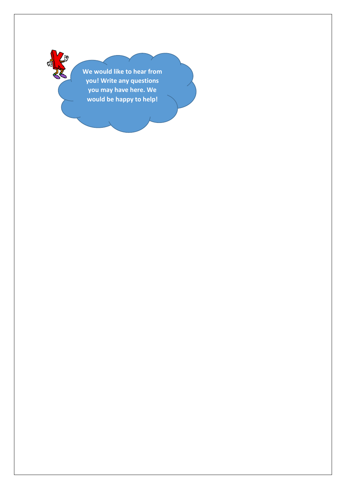**We would like to hear from you! Write any questions you may have here. We would be happy to help!**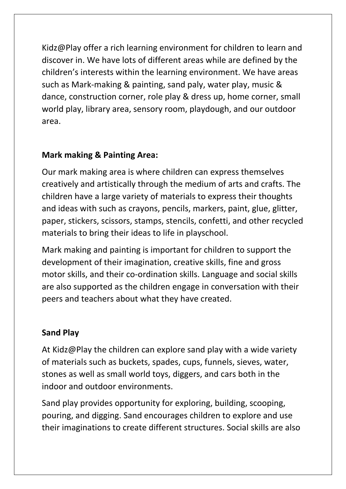Kidz@Play offer a rich learning environment for children to learn and discover in. We have lots of different areas while are defined by the children's interests within the learning environment. We have areas such as Mark-making & painting, sand paly, water play, music & dance, construction corner, role play & dress up, home corner, small world play, library area, sensory room, playdough, and our outdoor area.

# **Mark making & Painting Area:**

Our mark making area is where children can express themselves creatively and artistically through the medium of arts and crafts. The children have a large variety of materials to express their thoughts and ideas with such as crayons, pencils, markers, paint, glue, glitter, paper, stickers, scissors, stamps, stencils, confetti, and other recycled materials to bring their ideas to life in playschool.

Mark making and painting is important for children to support the development of their imagination, creative skills, fine and gross motor skills, and their co-ordination skills. Language and social skills are also supported as the children engage in conversation with their peers and teachers about what they have created.

#### **Sand Play**

At Kidz@Play the children can explore sand play with a wide variety of materials such as buckets, spades, cups, funnels, sieves, water, stones as well as small world toys, diggers, and cars both in the indoor and outdoor environments.

Sand play provides opportunity for exploring, building, scooping, pouring, and digging. Sand encourages children to explore and use their imaginations to create different structures. Social skills are also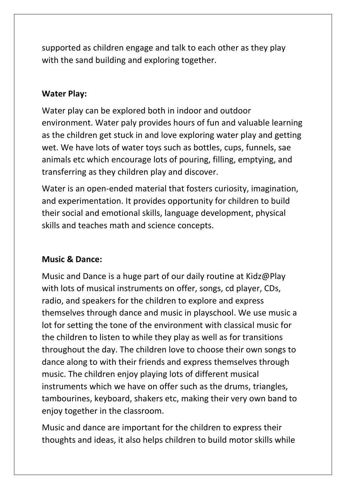supported as children engage and talk to each other as they play with the sand building and exploring together.

#### **Water Play:**

Water play can be explored both in indoor and outdoor environment. Water paly provides hours of fun and valuable learning as the children get stuck in and love exploring water play and getting wet. We have lots of water toys such as bottles, cups, funnels, sae animals etc which encourage lots of pouring, filling, emptying, and transferring as they children play and discover.

Water is an open-ended material that fosters curiosity, imagination, and experimentation. It provides opportunity for children to build their social and emotional skills, language development, physical skills and teaches math and science concepts.

#### **Music & Dance:**

Music and Dance is a huge part of our daily routine at Kidz@Play with lots of musical instruments on offer, songs, cd player, CDs, radio, and speakers for the children to explore and express themselves through dance and music in playschool. We use music a lot for setting the tone of the environment with classical music for the children to listen to while they play as well as for transitions throughout the day. The children love to choose their own songs to dance along to with their friends and express themselves through music. The children enjoy playing lots of different musical instruments which we have on offer such as the drums, triangles, tambourines, keyboard, shakers etc, making their very own band to enjoy together in the classroom.

Music and dance are important for the children to express their thoughts and ideas, it also helps children to build motor skills while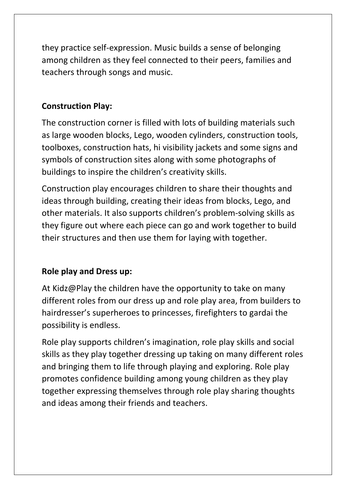they practice self-expression. Music builds a sense of belonging among children as they feel connected to their peers, families and teachers through songs and music.

## **Construction Play:**

The construction corner is filled with lots of building materials such as large wooden blocks, Lego, wooden cylinders, construction tools, toolboxes, construction hats, hi visibility jackets and some signs and symbols of construction sites along with some photographs of buildings to inspire the children's creativity skills.

Construction play encourages children to share their thoughts and ideas through building, creating their ideas from blocks, Lego, and other materials. It also supports children's problem-solving skills as they figure out where each piece can go and work together to build their structures and then use them for laying with together.

# **Role play and Dress up:**

At Kidz@Play the children have the opportunity to take on many different roles from our dress up and role play area, from builders to hairdresser's superheroes to princesses, firefighters to gardai the possibility is endless.

Role play supports children's imagination, role play skills and social skills as they play together dressing up taking on many different roles and bringing them to life through playing and exploring. Role play promotes confidence building among young children as they play together expressing themselves through role play sharing thoughts and ideas among their friends and teachers.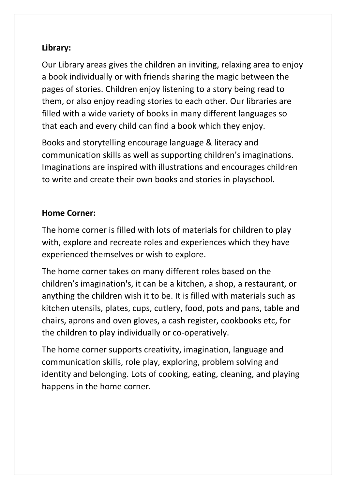# **Library:**

Our Library areas gives the children an inviting, relaxing area to enjoy a book individually or with friends sharing the magic between the pages of stories. Children enjoy listening to a story being read to them, or also enjoy reading stories to each other. Our libraries are filled with a wide variety of books in many different languages so that each and every child can find a book which they enjoy.

Books and storytelling encourage language & literacy and communication skills as well as supporting children's imaginations. Imaginations are inspired with illustrations and encourages children to write and create their own books and stories in playschool.

#### **Home Corner:**

The home corner is filled with lots of materials for children to play with, explore and recreate roles and experiences which they have experienced themselves or wish to explore.

The home corner takes on many different roles based on the children's imagination's, it can be a kitchen, a shop, a restaurant, or anything the children wish it to be. It is filled with materials such as kitchen utensils, plates, cups, cutlery, food, pots and pans, table and chairs, aprons and oven gloves, a cash register, cookbooks etc, for the children to play individually or co-operatively.

The home corner supports creativity, imagination, language and communication skills, role play, exploring, problem solving and identity and belonging. Lots of cooking, eating, cleaning, and playing happens in the home corner.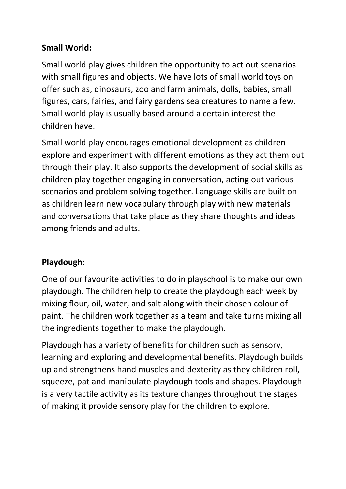## **Small World:**

Small world play gives children the opportunity to act out scenarios with small figures and objects. We have lots of small world toys on offer such as, dinosaurs, zoo and farm animals, dolls, babies, small figures, cars, fairies, and fairy gardens sea creatures to name a few. Small world play is usually based around a certain interest the children have.

Small world play encourages emotional development as children explore and experiment with different emotions as they act them out through their play. It also supports the development of social skills as children play together engaging in conversation, acting out various scenarios and problem solving together. Language skills are built on as children learn new vocabulary through play with new materials and conversations that take place as they share thoughts and ideas among friends and adults.

# **Playdough:**

One of our favourite activities to do in playschool is to make our own playdough. The children help to create the playdough each week by mixing flour, oil, water, and salt along with their chosen colour of paint. The children work together as a team and take turns mixing all the ingredients together to make the playdough.

Playdough has a variety of benefits for children such as sensory, learning and exploring and developmental benefits. Playdough builds up and strengthens hand muscles and dexterity as they children roll, squeeze, pat and manipulate playdough tools and shapes. Playdough is a very tactile activity as its texture changes throughout the stages of making it provide sensory play for the children to explore.